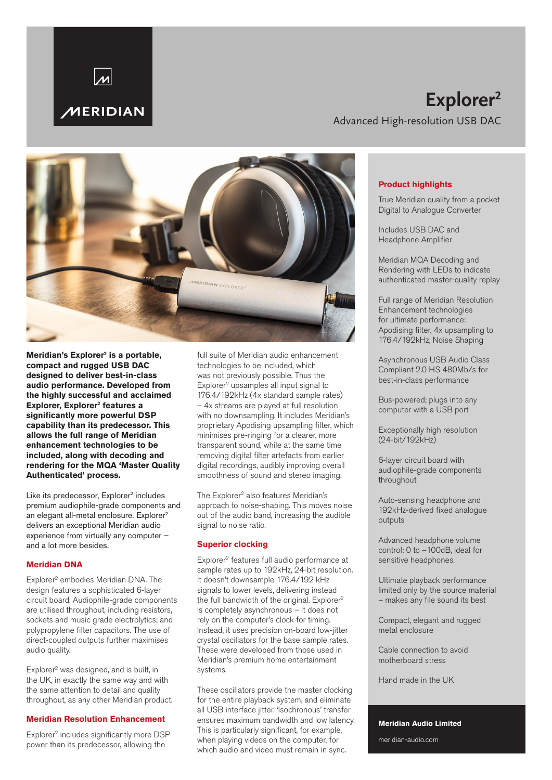

## **Explorer2** Advanced High-resolution USB DAC



Meridian's Explorer<sup>2</sup> is a portable, **compact and rugged USB DAC designed to deliver best-in-class audio performance. Developed from the highly successful and acclaimed**  Explorer, Explorer<sup>2</sup> features a **significantly more powerful DSP capability than its predecessor. This allows the full range of Meridian enhancement technologies to be included, along with decoding and rendering for the MQA 'Master Quality Authenticated' process.** 

Like its predecessor, Explorer<sup>2</sup> includes premium audiophile-grade components and an elegant all-metal enclosure. Explorer<sup>2</sup> delivers an exceptional Meridian audio experience from virtually any computer – and a lot more besides.

### **Meridian DNA**

Explorer2 embodies Meridian DNA. The design features a sophisticated 6-layer circuit board. Audiophile-grade components are utilised throughout, including resistors, sockets and music grade electrolytics; and polypropylene filter capacitors. The use of direct-coupled outputs further maximises audio quality.

Explorer2 was designed, and is built, in the UK, in exactly the same way and with the same attention to detail and quality throughout, as any other Meridian product.

#### **Meridian Resolution Enhancement**

Explorer<sup>2</sup> includes significantly more DSP power than its predecessor, allowing the

full suite of Meridian audio enhancement technologies to be included, which was not previously possible. Thus the Explorer<sup>2</sup> upsamples all input signal to 176.4/192kHz (4x standard sample rates) – 4x streams are played at full resolution with no downsampling. It includes Meridian's proprietary Apodising upsampling filter, which minimises pre-ringing for a clearer, more transparent sound, while at the same time removing digital filter artefacts from earlier digital recordings, audibly improving overall smoothness of sound and stereo imaging.

The Explorer<sup>2</sup> also features Meridian's approach to noise-shaping. This moves noise out of the audio band, increasing the audible signal to noise ratio.

#### **Superior clocking**

Explorer2 features full audio performance at sample rates up to 192kHz, 24-bit resolution. It doesn't downsample 176.4/192 kHz signals to lower levels, delivering instead the full bandwidth of the original. Explorer<sup>2</sup> is completely asynchronous – it does not rely on the computer's clock for timing. Instead, it uses precision on-board low-jitter crystal oscillators for the base sample rates. These were developed from those used in Meridian's premium home entertainment systems.

These oscillators provide the master clocking for the entire playback system, and eliminate all USB interface jitter. 'Isochronous' transfer ensures maximum bandwidth and low latency. This is particularly significant, for example, when playing videos on the computer, for which audio and video must remain in sync.

#### **Product highlights**

True Meridian quality from a pocket Digital to Analogue Converter

Includes USB DAC and Headphone Amplifier

Meridian MQA Decoding and Rendering with LEDs to indicate authenticated master-quality replay

Full range of Meridian Resolution Enhancement technologies for ultimate performance: Apodising filter, 4x upsampling to 176.4/192kHz, Noise Shaping

Asynchronous USB Audio Class Compliant 2.0 HS 480Mb/s for best-in-class performance

Bus-powered; plugs into any computer with a USB port

Exceptionally high resolution (24-bit/192kHz)

6-layer circuit board with audiophile-grade components throughout

Auto-sensing headphone and 192kHz-derived fixed analogue outputs

Advanced headphone volume control: 0 to –100dB, ideal for sensitive headphones.

Ultimate playback performance limited only by the source material – makes any file sound its best

Compact, elegant and rugged metal enclosure

Cable connection to avoid motherboard stress

Hand made in the UK

## **Meridian Audio Limited**

meridian-audio.com